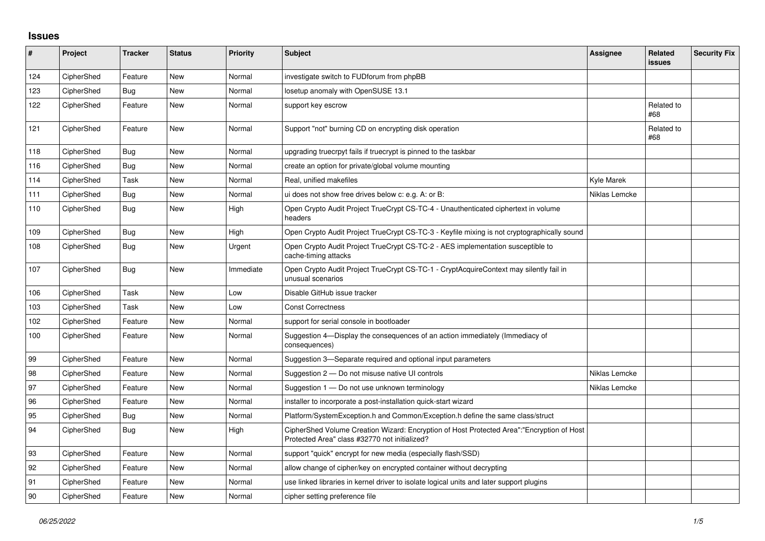## **Issues**

| #   | Project    | <b>Tracker</b> | <b>Status</b> | <b>Priority</b> | <b>Subject</b>                                                                                                                             | Assignee      | Related<br>issues | <b>Security Fix</b> |
|-----|------------|----------------|---------------|-----------------|--------------------------------------------------------------------------------------------------------------------------------------------|---------------|-------------------|---------------------|
| 124 | CipherShed | Feature        | <b>New</b>    | Normal          | investigate switch to FUDforum from phpBB                                                                                                  |               |                   |                     |
| 123 | CipherShed | Bug            | <b>New</b>    | Normal          | losetup anomaly with OpenSUSE 13.1                                                                                                         |               |                   |                     |
| 122 | CipherShed | Feature        | <b>New</b>    | Normal          | support key escrow                                                                                                                         |               | Related to<br>#68 |                     |
| 121 | CipherShed | Feature        | <b>New</b>    | Normal          | Support "not" burning CD on encrypting disk operation                                                                                      |               | Related to<br>#68 |                     |
| 118 | CipherShed | Bug            | <b>New</b>    | Normal          | upgrading truecrpyt fails if truecrypt is pinned to the taskbar                                                                            |               |                   |                     |
| 116 | CipherShed | Bug            | <b>New</b>    | Normal          | create an option for private/global volume mounting                                                                                        |               |                   |                     |
| 114 | CipherShed | Task           | <b>New</b>    | Normal          | Real, unified makefiles                                                                                                                    | Kyle Marek    |                   |                     |
| 111 | CipherShed | <b>Bug</b>     | <b>New</b>    | Normal          | ui does not show free drives below c: e.g. A: or B:                                                                                        | Niklas Lemcke |                   |                     |
| 110 | CipherShed | Bug            | <b>New</b>    | High            | Open Crypto Audit Project TrueCrypt CS-TC-4 - Unauthenticated ciphertext in volume<br>headers                                              |               |                   |                     |
| 109 | CipherShed | <b>Bug</b>     | New           | High            | Open Crypto Audit Project TrueCrypt CS-TC-3 - Keyfile mixing is not cryptographically sound                                                |               |                   |                     |
| 108 | CipherShed | Bug            | <b>New</b>    | Urgent          | Open Crypto Audit Project TrueCrypt CS-TC-2 - AES implementation susceptible to<br>cache-timing attacks                                    |               |                   |                     |
| 107 | CipherShed | <b>Bug</b>     | <b>New</b>    | Immediate       | Open Crypto Audit Project TrueCrypt CS-TC-1 - CryptAcquireContext may silently fail in<br>unusual scenarios                                |               |                   |                     |
| 106 | CipherShed | Task           | New           | Low             | Disable GitHub issue tracker                                                                                                               |               |                   |                     |
| 103 | CipherShed | Task           | <b>New</b>    | Low             | <b>Const Correctness</b>                                                                                                                   |               |                   |                     |
| 102 | CipherShed | Feature        | New           | Normal          | support for serial console in bootloader                                                                                                   |               |                   |                     |
| 100 | CipherShed | Feature        | New           | Normal          | Suggestion 4—Display the consequences of an action immediately (Immediacy of<br>consequences)                                              |               |                   |                     |
| 99  | CipherShed | Feature        | <b>New</b>    | Normal          | Suggestion 3—Separate required and optional input parameters                                                                               |               |                   |                     |
| 98  | CipherShed | Feature        | <b>New</b>    | Normal          | Suggestion 2 – Do not misuse native UI controls                                                                                            | Niklas Lemcke |                   |                     |
| 97  | CipherShed | Feature        | New           | Normal          | Suggestion 1 - Do not use unknown terminology                                                                                              | Niklas Lemcke |                   |                     |
| 96  | CipherShed | Feature        | New           | Normal          | installer to incorporate a post-installation quick-start wizard                                                                            |               |                   |                     |
| 95  | CipherShed | Bug            | <b>New</b>    | Normal          | Platform/SystemException.h and Common/Exception.h define the same class/struct                                                             |               |                   |                     |
| 94  | CipherShed | Bug            | <b>New</b>    | High            | CipherShed Volume Creation Wizard: Encryption of Host Protected Area":"Encryption of Host<br>Protected Area" class #32770 not initialized? |               |                   |                     |
| 93  | CipherShed | Feature        | New           | Normal          | support "quick" encrypt for new media (especially flash/SSD)                                                                               |               |                   |                     |
| 92  | CipherShed | Feature        | New           | Normal          | allow change of cipher/key on encrypted container without decrypting                                                                       |               |                   |                     |
| 91  | CipherShed | Feature        | <b>New</b>    | Normal          | use linked libraries in kernel driver to isolate logical units and later support plugins                                                   |               |                   |                     |
| 90  | CipherShed | Feature        | <b>New</b>    | Normal          | cipher setting preference file                                                                                                             |               |                   |                     |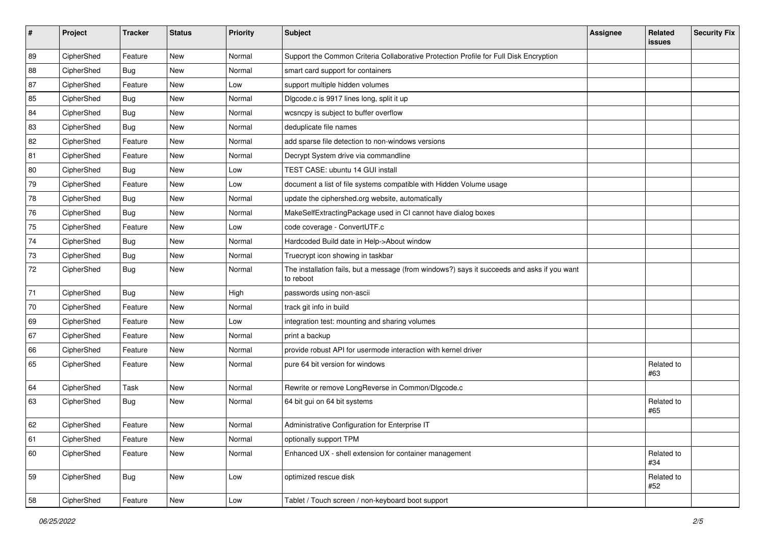| #  | Project    | <b>Tracker</b> | <b>Status</b> | Priority | <b>Subject</b>                                                                                           | <b>Assignee</b> | Related<br><b>issues</b> | <b>Security Fix</b> |
|----|------------|----------------|---------------|----------|----------------------------------------------------------------------------------------------------------|-----------------|--------------------------|---------------------|
| 89 | CipherShed | Feature        | New           | Normal   | Support the Common Criteria Collaborative Protection Profile for Full Disk Encryption                    |                 |                          |                     |
| 88 | CipherShed | <b>Bug</b>     | New           | Normal   | smart card support for containers                                                                        |                 |                          |                     |
| 87 | CipherShed | Feature        | New           | Low      | support multiple hidden volumes                                                                          |                 |                          |                     |
| 85 | CipherShed | <b>Bug</b>     | New           | Normal   | Digcode.c is 9917 lines long, split it up                                                                |                 |                          |                     |
| 84 | CipherShed | <b>Bug</b>     | New           | Normal   | wcsncpy is subject to buffer overflow                                                                    |                 |                          |                     |
| 83 | CipherShed | <b>Bug</b>     | New           | Normal   | deduplicate file names                                                                                   |                 |                          |                     |
| 82 | CipherShed | Feature        | New           | Normal   | add sparse file detection to non-windows versions                                                        |                 |                          |                     |
| 81 | CipherShed | Feature        | New           | Normal   | Decrypt System drive via commandline                                                                     |                 |                          |                     |
| 80 | CipherShed | Bug            | New           | Low      | TEST CASE: ubuntu 14 GUI install                                                                         |                 |                          |                     |
| 79 | CipherShed | Feature        | New           | Low      | document a list of file systems compatible with Hidden Volume usage                                      |                 |                          |                     |
| 78 | CipherShed | <b>Bug</b>     | New           | Normal   | update the ciphershed.org website, automatically                                                         |                 |                          |                     |
| 76 | CipherShed | <b>Bug</b>     | New           | Normal   | MakeSelfExtractingPackage used in CI cannot have dialog boxes                                            |                 |                          |                     |
| 75 | CipherShed | Feature        | New           | Low      | code coverage - ConvertUTF.c                                                                             |                 |                          |                     |
| 74 | CipherShed | <b>Bug</b>     | New           | Normal   | Hardcoded Build date in Help->About window                                                               |                 |                          |                     |
| 73 | CipherShed | <b>Bug</b>     | New           | Normal   | Truecrypt icon showing in taskbar                                                                        |                 |                          |                     |
| 72 | CipherShed | <b>Bug</b>     | New           | Normal   | The installation fails, but a message (from windows?) says it succeeds and asks if you want<br>to reboot |                 |                          |                     |
| 71 | CipherShed | Bug            | New           | High     | passwords using non-ascii                                                                                |                 |                          |                     |
| 70 | CipherShed | Feature        | <b>New</b>    | Normal   | track git info in build                                                                                  |                 |                          |                     |
| 69 | CipherShed | Feature        | New           | Low      | integration test: mounting and sharing volumes                                                           |                 |                          |                     |
| 67 | CipherShed | Feature        | New           | Normal   | print a backup                                                                                           |                 |                          |                     |
| 66 | CipherShed | Feature        | New           | Normal   | provide robust API for usermode interaction with kernel driver                                           |                 |                          |                     |
| 65 | CipherShed | Feature        | New           | Normal   | pure 64 bit version for windows                                                                          |                 | Related to<br>#63        |                     |
| 64 | CipherShed | Task           | New           | Normal   | Rewrite or remove LongReverse in Common/Dlgcode.c                                                        |                 |                          |                     |
| 63 | CipherShed | <b>Bug</b>     | New           | Normal   | 64 bit gui on 64 bit systems                                                                             |                 | Related to<br>#65        |                     |
| 62 | CipherShed | Feature        | New           | Normal   | Administrative Configuration for Enterprise IT                                                           |                 |                          |                     |
| 61 | CipherShed | Feature        | New           | Normal   | optionally support TPM                                                                                   |                 |                          |                     |
| 60 | CipherShed | Feature        | New           | Normal   | Enhanced UX - shell extension for container management                                                   |                 | Related to<br>#34        |                     |
| 59 | CipherShed | <b>Bug</b>     | New           | Low      | optimized rescue disk                                                                                    |                 | Related to<br>#52        |                     |
| 58 | CipherShed | Feature        | New           | Low      | Tablet / Touch screen / non-keyboard boot support                                                        |                 |                          |                     |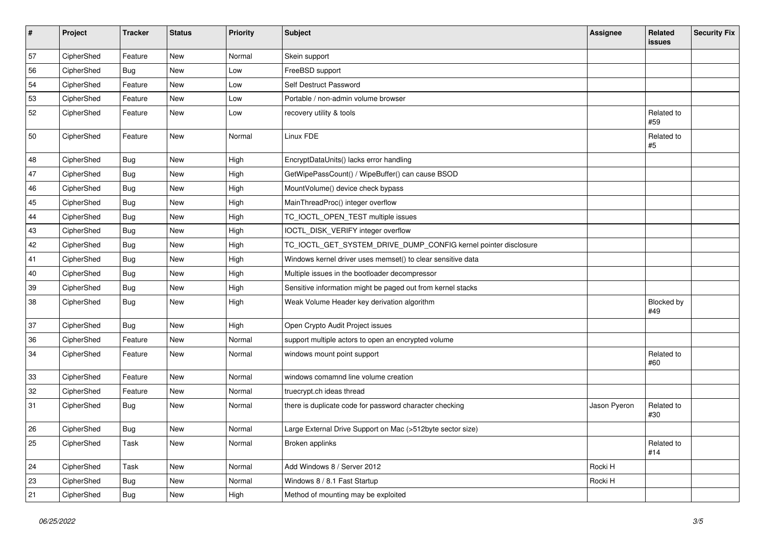| $\vert$ # | Project    | <b>Tracker</b> | <b>Status</b> | Priority | Subject                                                         | <b>Assignee</b> | Related<br><b>issues</b> | <b>Security Fix</b> |
|-----------|------------|----------------|---------------|----------|-----------------------------------------------------------------|-----------------|--------------------------|---------------------|
| 57        | CipherShed | Feature        | New           | Normal   | Skein support                                                   |                 |                          |                     |
| 56        | CipherShed | <b>Bug</b>     | New           | Low      | FreeBSD support                                                 |                 |                          |                     |
| 54        | CipherShed | Feature        | New           | Low      | Self Destruct Password                                          |                 |                          |                     |
| 53        | CipherShed | Feature        | New           | Low      | Portable / non-admin volume browser                             |                 |                          |                     |
| 52        | CipherShed | Feature        | New           | Low      | recovery utility & tools                                        |                 | Related to<br>#59        |                     |
| 50        | CipherShed | Feature        | New           | Normal   | Linux FDE                                                       |                 | Related to<br>$\#5$      |                     |
| 48        | CipherShed | Bug            | New           | High     | EncryptDataUnits() lacks error handling                         |                 |                          |                     |
| 47        | CipherShed | <b>Bug</b>     | New           | High     | GetWipePassCount() / WipeBuffer() can cause BSOD                |                 |                          |                     |
| 46        | CipherShed | <b>Bug</b>     | New           | High     | MountVolume() device check bypass                               |                 |                          |                     |
| 45        | CipherShed | <b>Bug</b>     | New           | High     | MainThreadProc() integer overflow                               |                 |                          |                     |
| 44        | CipherShed | <b>Bug</b>     | New           | High     | TC_IOCTL_OPEN_TEST multiple issues                              |                 |                          |                     |
| 43        | CipherShed | <b>Bug</b>     | New           | High     | IOCTL_DISK_VERIFY integer overflow                              |                 |                          |                     |
| 42        | CipherShed | <b>Bug</b>     | New           | High     | TC_IOCTL_GET_SYSTEM_DRIVE_DUMP_CONFIG kernel pointer disclosure |                 |                          |                     |
| 41        | CipherShed | Bug            | New           | High     | Windows kernel driver uses memset() to clear sensitive data     |                 |                          |                     |
| 40        | CipherShed | <b>Bug</b>     | New           | High     | Multiple issues in the bootloader decompressor                  |                 |                          |                     |
| 39        | CipherShed | <b>Bug</b>     | New           | High     | Sensitive information might be paged out from kernel stacks     |                 |                          |                     |
| 38        | CipherShed | <b>Bug</b>     | New           | High     | Weak Volume Header key derivation algorithm                     |                 | <b>Blocked by</b><br>#49 |                     |
| 37        | CipherShed | <b>Bug</b>     | New           | High     | Open Crypto Audit Project issues                                |                 |                          |                     |
| 36        | CipherShed | Feature        | New           | Normal   | support multiple actors to open an encrypted volume             |                 |                          |                     |
| 34        | CipherShed | Feature        | New           | Normal   | windows mount point support                                     |                 | Related to<br>#60        |                     |
| 33        | CipherShed | Feature        | New           | Normal   | windows comamnd line volume creation                            |                 |                          |                     |
| 32        | CipherShed | Feature        | New           | Normal   | truecrypt.ch ideas thread                                       |                 |                          |                     |
| 31        | CipherShed | <b>Bug</b>     | New           | Normal   | there is duplicate code for password character checking         | Jason Pyeron    | Related to<br>#30        |                     |
| 26        | CipherShed | Bug            | <b>New</b>    | Normal   | Large External Drive Support on Mac (>512byte sector size)      |                 |                          |                     |
| 25        | CipherShed | Task           | New           | Normal   | Broken applinks                                                 |                 | Related to<br>#14        |                     |
| 24        | CipherShed | Task           | New           | Normal   | Add Windows 8 / Server 2012                                     | Rocki H         |                          |                     |
| 23        | CipherShed | <b>Bug</b>     | New           | Normal   | Windows 8 / 8.1 Fast Startup                                    | Rocki H         |                          |                     |
| 21        | CipherShed | <b>Bug</b>     | New           | High     | Method of mounting may be exploited                             |                 |                          |                     |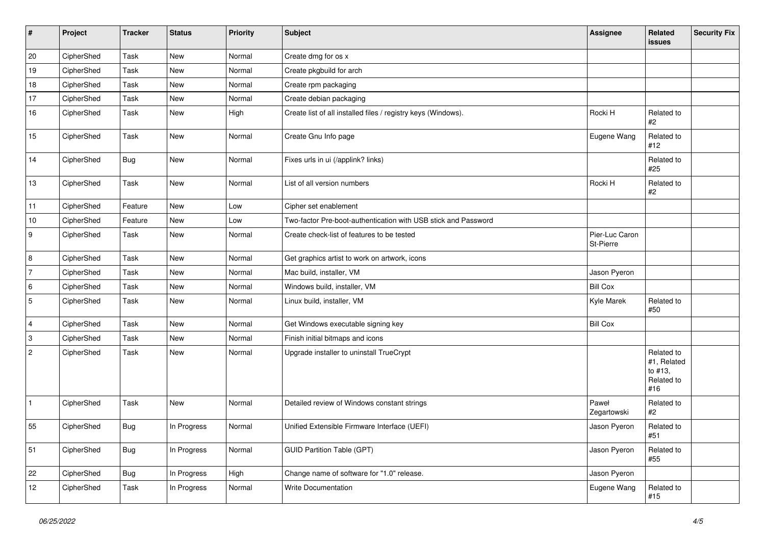| $\vert$ #      | Project    | <b>Tracker</b> | <b>Status</b> | Priority | <b>Subject</b>                                                 | <b>Assignee</b>             | Related<br>issues                                         | <b>Security Fix</b> |
|----------------|------------|----------------|---------------|----------|----------------------------------------------------------------|-----------------------------|-----------------------------------------------------------|---------------------|
| 20             | CipherShed | Task           | New           | Normal   | Create dmg for os x                                            |                             |                                                           |                     |
| 19             | CipherShed | Task           | New           | Normal   | Create pkgbuild for arch                                       |                             |                                                           |                     |
| 18             | CipherShed | Task           | <b>New</b>    | Normal   | Create rpm packaging                                           |                             |                                                           |                     |
| 17             | CipherShed | Task           | New           | Normal   | Create debian packaging                                        |                             |                                                           |                     |
| 16             | CipherShed | Task           | New           | High     | Create list of all installed files / registry keys (Windows).  | Rocki H                     | Related to<br>$\#2$                                       |                     |
| 15             | CipherShed | <b>Task</b>    | New           | Normal   | Create Gnu Info page                                           | Eugene Wang                 | Related to<br>#12                                         |                     |
| 14             | CipherShed | Bug            | New           | Normal   | Fixes urls in ui (/applink? links)                             |                             | Related to<br>#25                                         |                     |
| 13             | CipherShed | Task           | New           | Normal   | List of all version numbers                                    | Rocki H                     | Related to<br>#2                                          |                     |
| 11             | CipherShed | Feature        | New           | Low      | Cipher set enablement                                          |                             |                                                           |                     |
| $10$           | CipherShed | Feature        | New           | Low      | Two-factor Pre-boot-authentication with USB stick and Password |                             |                                                           |                     |
| 9              | CipherShed | Task           | <b>New</b>    | Normal   | Create check-list of features to be tested                     | Pier-Luc Caron<br>St-Pierre |                                                           |                     |
| 8              | CipherShed | <b>Task</b>    | New           | Normal   | Get graphics artist to work on artwork, icons                  |                             |                                                           |                     |
| $\overline{7}$ | CipherShed | Task           | New           | Normal   | Mac build, installer, VM                                       | Jason Pyeron                |                                                           |                     |
| 6              | CipherShed | Task           | <b>New</b>    | Normal   | Windows build, installer, VM                                   | <b>Bill Cox</b>             |                                                           |                     |
| $\overline{5}$ | CipherShed | Task           | New           | Normal   | Linux build, installer, VM                                     | Kyle Marek                  | Related to<br>#50                                         |                     |
| $\overline{4}$ | CipherShed | Task           | New           | Normal   | Get Windows executable signing key                             | <b>Bill Cox</b>             |                                                           |                     |
| 3              | CipherShed | Task           | New           | Normal   | Finish initial bitmaps and icons                               |                             |                                                           |                     |
| $\overline{2}$ | CipherShed | Task           | New           | Normal   | Upgrade installer to uninstall TrueCrypt                       |                             | Related to<br>#1, Related<br>to #13,<br>Related to<br>#16 |                     |
| 1              | CipherShed | Task           | New           | Normal   | Detailed review of Windows constant strings                    | Paweł<br>Zegartowski        | Related to<br>$\#2$                                       |                     |
| 55             | CipherShed | Bug            | In Progress   | Normal   | Unified Extensible Firmware Interface (UEFI)                   | Jason Pyeron                | Related to<br>#51                                         |                     |
| 51             | CipherShed | Bug            | In Progress   | Normal   | <b>GUID Partition Table (GPT)</b>                              | Jason Pyeron                | Related to<br>#55                                         |                     |
| 22             | CipherShed | <b>Bug</b>     | In Progress   | High     | Change name of software for "1.0" release.                     | Jason Pyeron                |                                                           |                     |
| 12             | CipherShed | Task           | In Progress   | Normal   | Write Documentation                                            | Eugene Wang                 | Related to<br>#15                                         |                     |